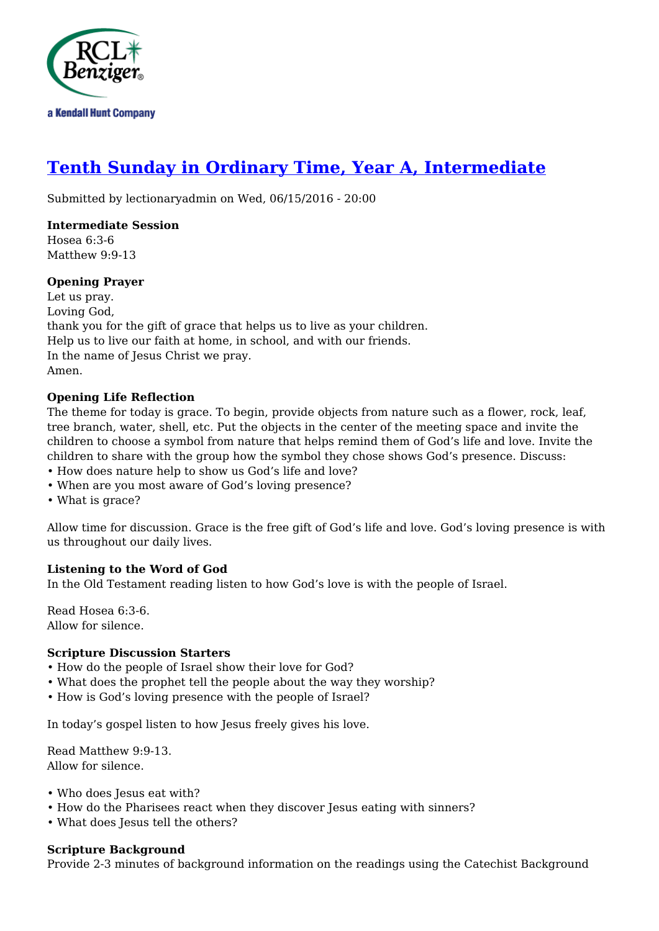

# **[Tenth Sunday in Ordinary Time, Year A, Intermediate](http://rclblectionary.com/tenth-sunday-ordinary-time-year-intermediate)**

Submitted by lectionaryadmin on Wed, 06/15/2016 - 20:00

# **Intermediate Session**

Hosea 6:3-6 Matthew 9:9-13

# **Opening Prayer**

Let us pray. Loving God, thank you for the gift of grace that helps us to live as your children. Help us to live our faith at home, in school, and with our friends. In the name of Jesus Christ we pray. Amen.

# **Opening Life Reflection**

The theme for today is grace. To begin, provide objects from nature such as a flower, rock, leaf, tree branch, water, shell, etc. Put the objects in the center of the meeting space and invite the children to choose a symbol from nature that helps remind them of God's life and love. Invite the children to share with the group how the symbol they chose shows God's presence. Discuss:

- How does nature help to show us God's life and love?
- When are you most aware of God's loving presence?
- What is grace?

Allow time for discussion. Grace is the free gift of God's life and love. God's loving presence is with us throughout our daily lives.

### **Listening to the Word of God**

In the Old Testament reading listen to how God's love is with the people of Israel.

Read Hosea 6:3-6. Allow for silence.

### **Scripture Discussion Starters**

- How do the people of Israel show their love for God?
- What does the prophet tell the people about the way they worship?
- How is God's loving presence with the people of Israel?

In today's gospel listen to how Jesus freely gives his love.

Read Matthew 9:9-13. Allow for silence.

- Who does Jesus eat with?
- How do the Pharisees react when they discover Jesus eating with sinners?
- What does Jesus tell the others?

#### **Scripture Background**

Provide 2-3 minutes of background information on the readings using the Catechist Background